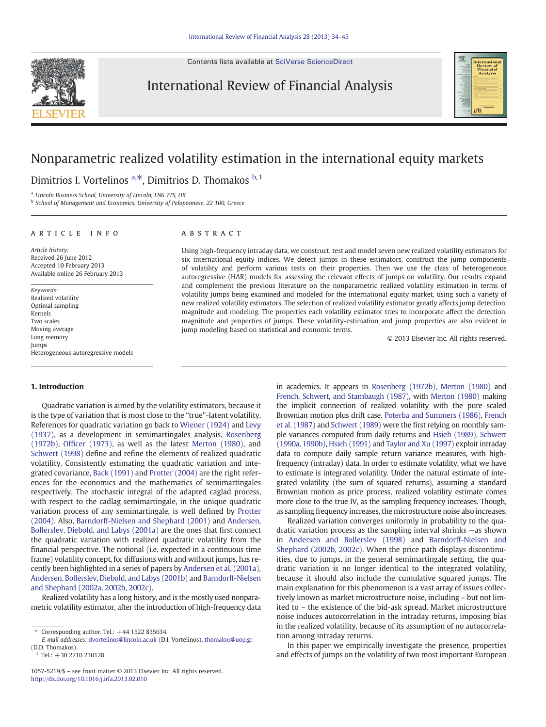Contents lists available at [SciVerse ScienceDirect](http://www.sciencedirect.com/science/journal/10575219)



### International Review of Financial Analysis



## Nonparametric realized volatility estimation in the international equity markets

Dimitrios I. Vortelinos <sup>a,\*</sup>, Dimitrios D. Thomakos <sup>b, 1</sup>

a Lincoln Business School, University of Lincoln, LN6 7TS, UK

<sup>b</sup> School of Management and Economics, University of Peloponnese, 22 100, Greece

#### article info abstract

Article history: Received 26 June 2012 Accepted 10 February 2013 Available online 26 February 2013

Keywords: Realized volatility Optimal sampling Kernels Two scales Moving average Long memory Jumps Heterogeneous autoregressive models

Using high-frequency intraday data, we construct, test and model seven new realized volatility estimators for six international equity indices. We detect jumps in these estimators, construct the jump components of volatility and perform various tests on their properties. Then we use the class of heterogeneous autoregressive (HAR) models for assessing the relevant effects of jumps on volatility. Our results expand and complement the previous literature on the nonparametric realized volatility estimation in terms of volatility jumps being examined and modeled for the international equity market, using such a variety of new realized volatility estimators. The selection of realized volatility estimator greatly affects jump detection, magnitude and modeling. The properties each volatility estimator tries to incorporate affect the detection, magnitude and properties of jumps. These volatility-estimation and jump properties are also evident in jump modeling based on statistical and economic terms.

© 2013 Elsevier Inc. All rights reserved.

#### 1. Introduction

Quadratic variation is aimed by the volatility estimators, because it is the type of variation that is most close to the "true"-latent volatility. References for quadratic variation go back to [Wiener \(1924\)](#page--1-0) and [Levy](#page--1-0) [\(1937\),](#page--1-0) as a development in semimartingales analysis. [Rosenberg](#page--1-0) [\(1972b\),](#page--1-0) Offi[cer \(1973\)](#page--1-0), as well as the latest [Merton \(1980\),](#page--1-0) and [Schwert \(1998\)](#page--1-0) define and refine the elements of realized quadratic volatility. Consistently estimating the quadratic variation and integrated covariance, [Back \(1991\)](#page--1-0) and [Protter \(2004\)](#page--1-0) are the right references for the economics and the mathematics of semimartingales respectively. The stochastic integral of the adapted caglad process, with respect to the cadlag semimartingale, in the unique quadratic variation process of any semimartingale, is well defined by [Protter](#page--1-0) [\(2004\).](#page--1-0) Also, [Barndorff-Nielsen and Shephard \(2001\)](#page--1-0) and [Andersen,](#page--1-0) [Bollerslev, Diebold, and Labys \(2001a\)](#page--1-0) are the ones that first connect the quadratic variation with realized quadratic volatility from the financial perspective. The notional (i.e. expected in a continuous time frame) volatility concept, for diffusions with and without jumps, has recently been highlighted in a series of papers by [Andersen et al. \(2001a\),](#page--1-0) [Andersen, Bollerslev, Diebold, and Labys \(2001b\)](#page--1-0) and [Barndorff-Nielsen](#page--1-0) [and Shephard \(2002a, 2002b, 2002c\)](#page--1-0).

Realized volatility has a long history, and is the mostly used nonparametric volatility estimator, after the introduction of high-frequency data in academics. It appears in [Rosenberg \(1972b\)](#page--1-0), [Merton \(1980\)](#page--1-0) and [French, Schwert, and Stambaugh \(1987\)](#page--1-0), with [Merton \(1980\)](#page--1-0) making the implicit connection of realized volatility with the pure scaled Brownian motion plus drift case. [Poterba and Summers \(1986\),](#page--1-0) [French](#page--1-0) [et al. \(1987\)](#page--1-0) and [Schwert \(1989\)](#page--1-0) were the first relying on monthly sample variances computed from daily returns and [Hsieh \(1989\)](#page--1-0), [Schwert](#page--1-0) [\(1990a, 1990b\)](#page--1-0), [Hsieh \(1991\)](#page--1-0) and [Taylor and Xu \(1997\)](#page--1-0) exploit intraday data to compute daily sample return variance measures, with highfrequency (intraday) data. In order to estimate volatility, what we have to estimate is integrated volatility. Under the natural estimate of integrated volatility (the sum of squared returns), assuming a standard Brownian motion as price process, realized volatility estimate comes more close to the true IV, as the sampling frequency increases. Though, as sampling frequency increases, the microstructure noise also increases.

Realized variation converges uniformly in probability to the quadratic variation process as the sampling interval shrinks —as shown in [Andersen and Bollerslev \(1998\)](#page--1-0) and [Barndorff-Nielsen and](#page--1-0) [Shephard \(2002b, 2002c\)](#page--1-0). When the price path displays discontinuities, due to jumps, in the general semimartingale setting, the quadratic variation is no longer identical to the integrated volatility, because it should also include the cumulative squared jumps. The main explanation for this phenomenon is a vast array of issues collectively known as market microstructure noise, including – but not limited to – the existence of the bid-ask spread. Market microstructure noise induces autocorrelation in the intraday returns, imposing bias in the realized volatility, because of its assumption of no autocorrelation among intraday returns.

In this paper we empirically investigate the presence, properties and effects of jumps on the volatility of two most important European

 $*$  Corresponding author. Tel.:  $+44$  1522 835634.

E-mail addresses: [dvortelinos@lincoln.ac.uk](mailto:dvortelinos@lincoln.ac.uk) (D.I. Vortelinos), [thomakos@uop.gr](mailto:thomakos@uop.gr) (D.D. Thomakos).

Tel.:  $+30$  2710 230128.

<sup>1057-5219/\$</sup> – see front matter © 2013 Elsevier Inc. All rights reserved. <http://dx.doi.org/10.1016/j.irfa.2013.02.010>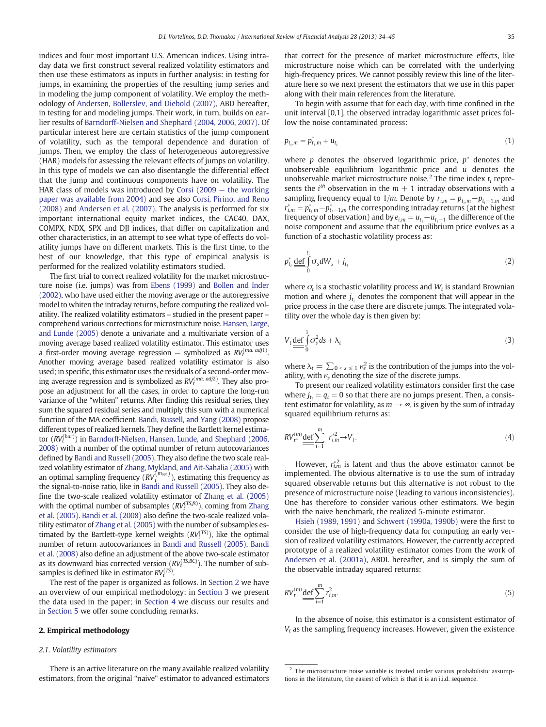indices and four most important U.S. American indices. Using intraday data we first construct several realized volatility estimators and then use these estimators as inputs in further analysis: in testing for jumps, in examining the properties of the resulting jump series and in modeling the jump component of volatility. We employ the methodology of [Andersen, Bollerslev, and Diebold \(2007\),](#page--1-0) ABD hereafter, in testing for and modeling jumps. Their work, in turn, builds on earlier results of [Barndorff-Nielsen and Shephard \(2004, 2006, 2007\)](#page--1-0). Of particular interest here are certain statistics of the jump component of volatility, such as the temporal dependence and duration of jumps. Then, we employ the class of heterogeneous autoregressive (HAR) models for assessing the relevant effects of jumps on volatility. In this type of models we can also disentangle the differential effect that the jump and continuous components have on volatility. The HAR class of models was introduced by Corsi (2009 — [the working](#page--1-0) [paper was available from 2004\)](#page--1-0) and see also [Corsi, Pirino, and Reno](#page--1-0) [\(2008\)](#page--1-0) and [Andersen et al. \(2007\)](#page--1-0). The analysis is performed for six important international equity market indices, the CAC40, DAX, COMPX, NDX, SPX and DJI indices, that differ on capitalization and other characteristics, in an attempt to see what type of effects do volatility jumps have on different markets. This is the first time, to the best of our knowledge, that this type of empirical analysis is performed for the realized volatility estimators studied.

The first trial to correct realized volatility for the market microstructure noise (i.e. jumps) was from [Ebens \(1999\)](#page--1-0) and [Bollen and Inder](#page--1-0) [\(2002\),](#page--1-0) who have used either the moving average or the autoregressive model to whiten the intraday returns, before computing the realized volatility. The realized volatility estimators – studied in the present paper – comprehend various corrections for microstructure noise. [Hansen, Large,](#page--1-0) [and Lunde \(2005\)](#page--1-0) denote a univariate and a multivariate version of a moving average based realized volatility estimator. This estimator uses a first-order moving average regression — symbolized as  $RV_t^{(ma.\ adj1)}$ . Another moving average based realized volatility estimator is also used; in specific, this estimator uses the residuals of a second-order moving average regression and is symbolized as  $RV_{t}^{(ma.\ adj2)}$ . They also propose an adjustment for all the cases, in order to capture the long-run variance of the "whiten" returns. After finding this residual series, they sum the squared residual series and multiply this sum with a numerical function of the MA coefficient. [Bandi, Russell, and Yang \(2008\)](#page--1-0) propose different types of realized kernels. They define the Bartlett kernel estimator  $(RV_t^{(bar)})$  in [Barndorff-Nielsen, Hansen, Lunde, and Shephard \(2006,](#page--1-0) [2008\)](#page--1-0) with a number of the optimal number of return autocovariances defined by [Bandi and Russell \(2005\)](#page--1-0). They also define the two scale realized volatility estimator of [Zhang, Mykland, and Ait-Sahalia \(2005\)](#page--1-0) with an optimal sampling frequency  $\overline{(RV_t^{(m_{opt})})}$ , estimating this frequency as the signal-to-noise ratio, like in [Bandi and Russell \(2005\).](#page--1-0) They also define the two-scale realized volatility estimator of [Zhang et al. \(2005\)](#page--1-0) with the optimal number of subsamples  $(RV_t^{(TS,fs)})$ , coming from [Zhang](#page--1-0) [et al. \(2005\).](#page--1-0) [Bandi et al. \(2008\)](#page--1-0) also define the two-scale realized volatility estimator of [Zhang et al. \(2005\)](#page--1-0) with the number of subsamples estimated by the Bartlett-type kernel weights  $(RV_t^{(\text{TS})})$ , like the optimal number of return autocovariances in [Bandi and Russell \(2005\).](#page--1-0) [Bandi](#page--1-0) [et al. \(2008\)](#page--1-0) also define an adjustment of the above two-scale estimator as its downward bias corrected version  $(RV_t^{(TS, BC)})$ . The number of subsamples is defined like in estimator  $RV_t^{(TS)}$ .

The rest of the paper is organized as follows. In Section 2 we have an overview of our empirical methodology; in [Section 3](#page--1-0) we present the data used in the paper; in [Section 4](#page--1-0) we discuss our results and in [Section 5](#page--1-0) we offer some concluding remarks.

### 2. Empirical methodology

#### 2.1. Volatility estimators

There is an active literature on the many available realized volatility estimators, from the original "naive" estimator to advanced estimators that correct for the presence of market microstructure effects, like microstructure noise which can be correlated with the underlying high-frequency prices. We cannot possibly review this line of the literature here so we next present the estimators that we use in this paper along with their main references from the literature.

To begin with assume that for each day, with time confined in the unit interval [0,1], the observed intraday logarithmic asset prices follow the noise contaminated process:

$$
p_{t_i,m} = p_{t_i,m}^* + u_{t_i}
$$
 (1)

where p denotes the observed logarithmic price,  $p^*$  denotes the unobservable equilibrium logarithmic price and  $u$  denotes the unobservable market microstructure noise.<sup>2</sup> The time index  $t_i$  represents the  $i<sup>th</sup>$  observation in the  $m + 1$  intraday observations with a sampling frequency equal to 1/m. Denote by  $r_{i,m} = p_{t_i,m} - p_{t_i-1,m}$  and  $r_{i,m}^* = p_{t_i,m}^* - p_{t_i-1,m}^*$  the corresponding intraday returns (at the highest frequency of observation) and by  $e_{i,m} = u_{t_i} - u_{t_i-1}$  the difference of the noise component and assume that the equilibrium price evolves as a function of a stochastic volatility process as:

$$
p_{t_i}^* \underbrace{\det}_{0} \int_{0}^{t_i} \sigma_s dW_s + j_{t_i}
$$
 (2)

where  $\sigma_t$  is a stochastic volatility process and  $W_t$  is standard Brownian motion and where  $j_t$ , denotes the component that will appear in the price process in the case there are discrete jumps. The integrated volatility over the whole day is then given by:

$$
V_t \underline{\text{def}} \int_0^1 \sigma_s^2 ds + \lambda_t \tag{3}
$$

where  $\lambda_t = \sum_{0 \le s \le 1} \kappa_s^2$  is the contribution of the jumps into the volatility, with  $\kappa_s$  denoting the size of the discrete jumps.

To present our realized volatility estimators consider first the case where  $j_{t_i} = q_t = 0$  so that there are no jumps present. Then, a consistent estimator for volatility, as  $m \to \infty$ , is given by the sum of intraday squared equilibrium returns as:

$$
RV_{t^*}^{(m)} \underline{\det} \sum_{i=1}^m r_{i,m}^{*2} \to V_t. \tag{4}
$$

However,  $r_{i,m}^{*2}$  is latent and thus the above estimator cannot be implemented. The obvious alternative is to use the sum of intraday squared observable returns but this alternative is not robust to the presence of microstructure noise (leading to various inconsistencies). One has therefore to consider various other estimators. We begin with the naive benchmark, the realized 5-minute estimator.

[Hsieh \(1989, 1991\)](#page--1-0) and [Schwert \(1990a, 1990b\)](#page--1-0) were the first to consider the use of high-frequency data for computing an early version of realized volatility estimators. However, the currently accepted prototype of a realized volatility estimator comes from the work of [Andersen et al. \(2001a\),](#page--1-0) ABDL hereafter, and is simply the sum of the observable intraday squared returns:

$$
RV_t^{(m)} \underbrace{\text{def}}_{i=1} \sum_{i=1}^m r_{i,m}^2. \tag{5}
$$

In the absence of noise, this estimator is a consistent estimator of  $V_t$  as the sampling frequency increases. However, given the existence

 $2$  The microstructure noise variable is treated under various probabilistic assumptions in the literature, the easiest of which is that it is an i.i.d. sequence.